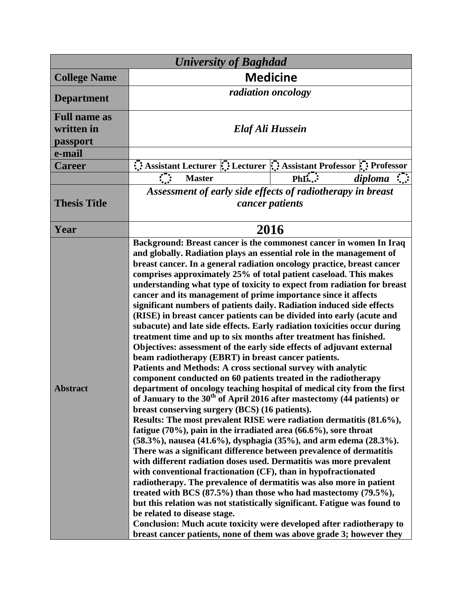| <b>University of Baghdad</b>                            |                                                                                                                                                                                                                                                                                                                                                                                                                                                                                                                                                                                                                                                                                                                                                                                                                                                                                                                                                                                                                                                                                                                                                                                                                                                                                                                                                                                                                                                                                                                                                                                                                                                                                                                                                                                                                                                                                                                                                                                                         |                                                                    |  |
|---------------------------------------------------------|---------------------------------------------------------------------------------------------------------------------------------------------------------------------------------------------------------------------------------------------------------------------------------------------------------------------------------------------------------------------------------------------------------------------------------------------------------------------------------------------------------------------------------------------------------------------------------------------------------------------------------------------------------------------------------------------------------------------------------------------------------------------------------------------------------------------------------------------------------------------------------------------------------------------------------------------------------------------------------------------------------------------------------------------------------------------------------------------------------------------------------------------------------------------------------------------------------------------------------------------------------------------------------------------------------------------------------------------------------------------------------------------------------------------------------------------------------------------------------------------------------------------------------------------------------------------------------------------------------------------------------------------------------------------------------------------------------------------------------------------------------------------------------------------------------------------------------------------------------------------------------------------------------------------------------------------------------------------------------------------------------|--------------------------------------------------------------------|--|
| <b>College Name</b>                                     | <b>Medicine</b>                                                                                                                                                                                                                                                                                                                                                                                                                                                                                                                                                                                                                                                                                                                                                                                                                                                                                                                                                                                                                                                                                                                                                                                                                                                                                                                                                                                                                                                                                                                                                                                                                                                                                                                                                                                                                                                                                                                                                                                         |                                                                    |  |
| <b>Department</b>                                       | radiation oncology                                                                                                                                                                                                                                                                                                                                                                                                                                                                                                                                                                                                                                                                                                                                                                                                                                                                                                                                                                                                                                                                                                                                                                                                                                                                                                                                                                                                                                                                                                                                                                                                                                                                                                                                                                                                                                                                                                                                                                                      |                                                                    |  |
| <b>Full name as</b><br>written in<br>passport<br>e-mail | Elaf Ali Hussein                                                                                                                                                                                                                                                                                                                                                                                                                                                                                                                                                                                                                                                                                                                                                                                                                                                                                                                                                                                                                                                                                                                                                                                                                                                                                                                                                                                                                                                                                                                                                                                                                                                                                                                                                                                                                                                                                                                                                                                        |                                                                    |  |
| <b>Career</b>                                           |                                                                                                                                                                                                                                                                                                                                                                                                                                                                                                                                                                                                                                                                                                                                                                                                                                                                                                                                                                                                                                                                                                                                                                                                                                                                                                                                                                                                                                                                                                                                                                                                                                                                                                                                                                                                                                                                                                                                                                                                         | Assistant Lecturer :: Lecturer :: Assistant Professor :: Professor |  |
|                                                         | <b>Master</b>                                                                                                                                                                                                                                                                                                                                                                                                                                                                                                                                                                                                                                                                                                                                                                                                                                                                                                                                                                                                                                                                                                                                                                                                                                                                                                                                                                                                                                                                                                                                                                                                                                                                                                                                                                                                                                                                                                                                                                                           | PhD.<br>diploma                                                    |  |
|                                                         |                                                                                                                                                                                                                                                                                                                                                                                                                                                                                                                                                                                                                                                                                                                                                                                                                                                                                                                                                                                                                                                                                                                                                                                                                                                                                                                                                                                                                                                                                                                                                                                                                                                                                                                                                                                                                                                                                                                                                                                                         |                                                                    |  |
| <b>Thesis Title</b>                                     | Assessment of early side effects of radiotherapy in breast<br>cancer patients                                                                                                                                                                                                                                                                                                                                                                                                                                                                                                                                                                                                                                                                                                                                                                                                                                                                                                                                                                                                                                                                                                                                                                                                                                                                                                                                                                                                                                                                                                                                                                                                                                                                                                                                                                                                                                                                                                                           |                                                                    |  |
| Year                                                    | 2016                                                                                                                                                                                                                                                                                                                                                                                                                                                                                                                                                                                                                                                                                                                                                                                                                                                                                                                                                                                                                                                                                                                                                                                                                                                                                                                                                                                                                                                                                                                                                                                                                                                                                                                                                                                                                                                                                                                                                                                                    |                                                                    |  |
| <b>Abstract</b>                                         | Background: Breast cancer is the commonest cancer in women In Iraq<br>and globally. Radiation plays an essential role in the management of<br>breast cancer. In a general radiation oncology practice, breast cancer<br>comprises approximately 25% of total patient caseload. This makes<br>understanding what type of toxicity to expect from radiation for breast<br>cancer and its management of prime importance since it affects<br>significant numbers of patients daily. Radiation induced side effects<br>(RISE) in breast cancer patients can be divided into early (acute and<br>subacute) and late side effects. Early radiation toxicities occur during<br>treatment time and up to six months after treatment has finished.<br>Objectives: assessment of the early side effects of adjuvant external<br>beam radiotherapy (EBRT) in breast cancer patients.<br>Patients and Methods: A cross sectional survey with analytic<br>component conducted on 60 patients treated in the radiotherapy<br>department of oncology teaching hospital of medical city from the first<br>of January to the 30 <sup>th</sup> of April 2016 after mastectomy (44 patients) or<br>breast conserving surgery (BCS) (16 patients).<br>Results: The most prevalent RISE were radiation dermatitis (81.6%),<br>fatigue $(70\%)$ , pain in the irradiated area $(66.6\%)$ , sore throat<br>(58.3%), nausea (41.6%), dysphagia (35%), and arm edema (28.3%).<br>There was a significant difference between prevalence of dermatitis<br>with different radiation doses used. Dermatitis was more prevalent<br>with conventional fractionation (CF), than in hypofractionated<br>radiotherapy. The prevalence of dermatitis was also more in patient<br>treated with BCS $(87.5%)$ than those who had mastectomy $(79.5%)$ ,<br>but this relation was not statistically significant. Fatigue was found to<br>be related to disease stage.<br>Conclusion: Much acute toxicity were developed after radiotherapy to |                                                                    |  |